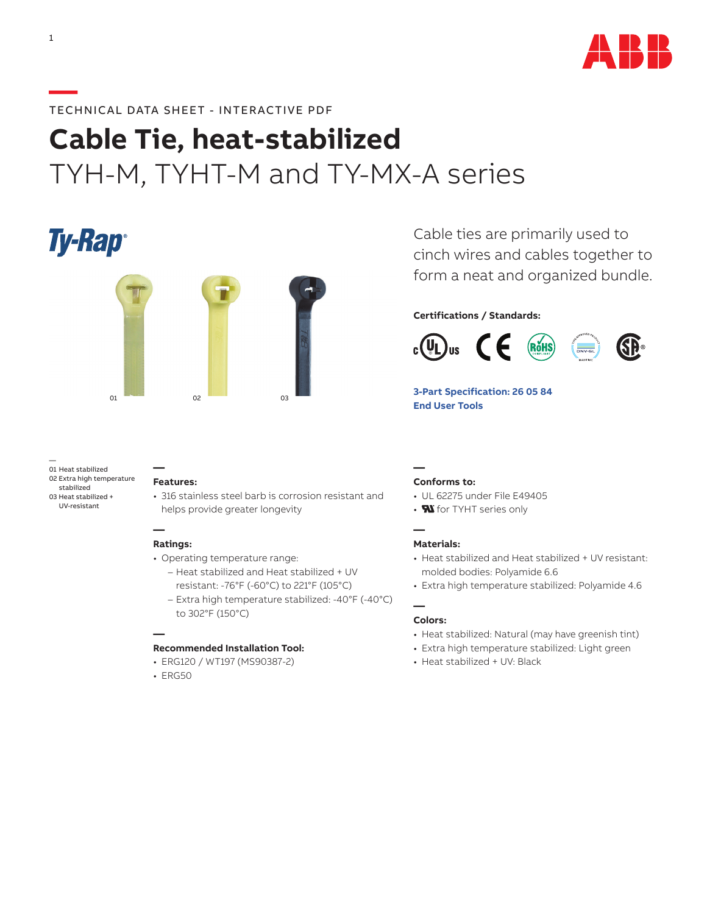

# **—**TECHNICAL DATA SHEET - INTERACTIVE PDF

# **Cable Tie, heat-stabilized** TYH-M, TYHT-M and TY-MX-A series

**Ty-Rap**®



— 01 Heat stabilized 02 Extra high temperature stabilized 03 Heat stabilized + UV-resistant

#### **— Features:**

• 316 stainless steel barb is corrosion resistant and helps provide greater longevity

# **Ratings:**

**—**

- Operating temperature range:
	- Heat stabilized and Heat stabilized + UV resistant: -76°F (-60°C) to 221°F (105°C)
	- Extra high temperature stabilized: -40°F (-40°C) to 302°F (150°C)

#### **—**

# **Recommended Installation Tool:**

- ERG120 / WT197 (MS90387-2)
- ERG50

Cable ties are primarily used to cinch wires and cables together to form a neat and organized bundle.

# **Certifications / Standards:**



**[3-Part Specification: 26 05 84](http://www-public.tnb.com/ps/pubint/specguide.cgi) [End User Tools](http://tnb.abb.com/pub/en/node/258)** 

#### **— Conforms to:**

- UL 62275 under File E49405
- **N** for TYHT series only

#### **— Materials:**

- Heat stabilized and Heat stabilized + UV resistant: molded bodies: Polyamide 6.6
- Extra high temperature stabilized: Polyamide 4.6

#### **— Colors:**

- Heat stabilized: Natural (may have greenish tint)
- Extra high temperature stabilized: Light green
- Heat stabilized + UV: Black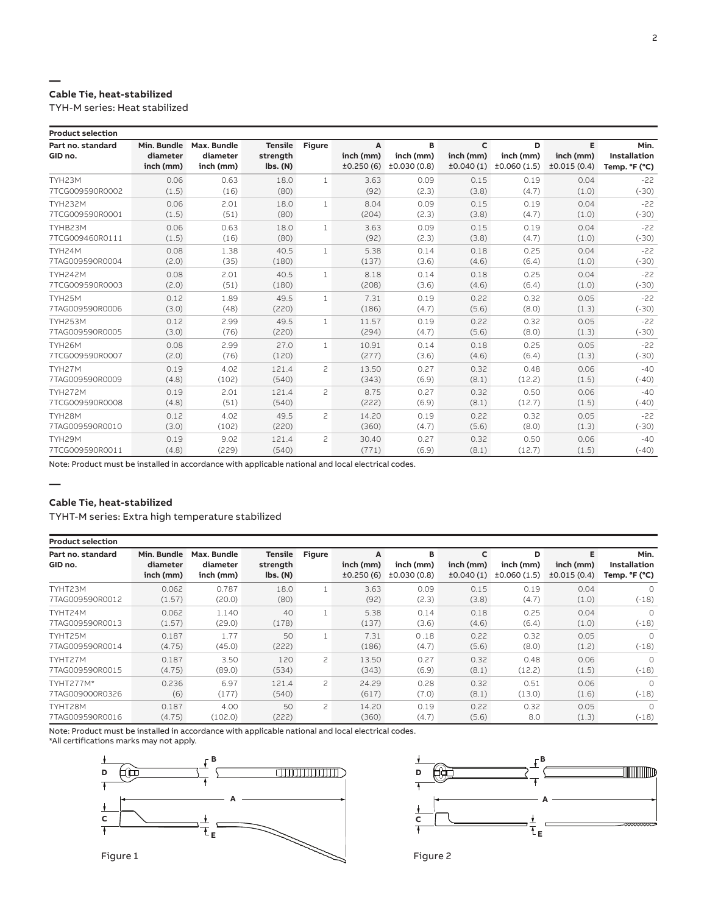### **— Cable Tie, heat-stabilized**

TYH-M series: Heat stabilized

| <b>Product selection</b>     |                                      |                                      |                                                           |                |                             |                               |                             |                               |                               |                                              |
|------------------------------|--------------------------------------|--------------------------------------|-----------------------------------------------------------|----------------|-----------------------------|-------------------------------|-----------------------------|-------------------------------|-------------------------------|----------------------------------------------|
| Part no. standard<br>GID no. | Min. Bundle<br>diameter<br>inch (mm) | Max. Bundle<br>diameter<br>inch (mm) | <b>Tensile</b><br>strength<br>$\mathsf{lbs.}\mathsf{(N)}$ | <b>Figure</b>  | A<br>inch (mm)<br>±0.250(6) | в<br>inch (mm)<br>±0.030(0.8) | c<br>inch (mm)<br>±0.040(1) | D<br>inch (mm)<br>±0.060(1.5) | Е<br>inch (mm)<br>±0.015(0.4) | Min.<br><b>Installation</b><br>Temp. °F (°C) |
| TYH23M                       | 0.06                                 | 0.63                                 | 18.0                                                      | $\mathbf{1}$   | 3.63                        | 0.09                          | 0.15                        | 0.19                          | 0.04                          | $-22$                                        |
| 7TCG009590R0002              | (1.5)                                | (16)                                 | (80)                                                      |                | (92)                        | (2.3)                         | (3.8)                       | (4.7)                         | (1.0)                         | $(-30)$                                      |
| <b>TYH232M</b>               | 0.06                                 | 2.01                                 | 18.0                                                      | $\mathbf{1}$   | 8.04                        | 0.09                          | 0.15                        | 0.19                          | 0.04                          | $-22$                                        |
| 7TCG009590R0001              | (1.5)                                | (51)                                 | (80)                                                      |                | (204)                       | (2.3)                         | (3.8)                       | (4.7)                         | (1.0)                         | $(-30)$                                      |
| TYHB23M                      | 0.06                                 | 0.63                                 | 18.0                                                      | $\mathbf{1}$   | 3.63                        | 0.09                          | 0.15                        | 0.19                          | 0.04                          | $-22$                                        |
| 7TCG009460R0111              | (1.5)                                | (16)                                 | (80)                                                      |                | (92)                        | (2.3)                         | (3.8)                       | (4.7)                         | (1.0)                         | $(-30)$                                      |
| TYH24M                       | 0.08                                 | 1.38                                 | 40.5                                                      | $\mathbf{1}$   | 5.38                        | 0.14                          | 0.18                        | 0.25                          | 0.04                          | $-22$                                        |
| 7TAG009590R0004              | (2.0)                                | (35)                                 | (180)                                                     |                | (137)                       | (3.6)                         | (4.6)                       | (6.4)                         | (1.0)                         | $(-30)$                                      |
| <b>TYH242M</b>               | 0.08                                 | 2.01                                 | 40.5                                                      | $\mathbf{1}$   | 8.18                        | 0.14                          | 0.18                        | 0.25                          | 0.04                          | $-22$                                        |
| 7TCG009590R0003              | (2.0)                                | (51)                                 | (180)                                                     |                | (208)                       | (3.6)                         | (4.6)                       | (6.4)                         | (1.0)                         | $(-30)$                                      |
| TYH25M                       | 0.12                                 | 1.89                                 | 49.5                                                      | $\mathbf{1}$   | 7.31                        | 0.19                          | 0.22                        | 0.32                          | 0.05                          | $-22$                                        |
| 7TAG009590R0006              | (3.0)                                | (48)                                 | (220)                                                     |                | (186)                       | (4.7)                         | (5.6)                       | (8.0)                         | (1.3)                         | $(-30)$                                      |
| <b>TYH253M</b>               | 0.12                                 | 2.99                                 | 49.5                                                      | $\mathbf{1}$   | 11.57                       | 0.19                          | 0.22                        | 0.32                          | 0.05                          | $-22$                                        |
| 7TAG009590R0005              | (3.0)                                | (76)                                 | (220)                                                     |                | (294)                       | (4.7)                         | (5.6)                       | (8.0)                         | (1.3)                         | $(-30)$                                      |
| TYH26M                       | 0.08                                 | 2.99                                 | 27.0                                                      | $\mathbf{1}$   | 10.91                       | 0.14                          | 0.18                        | 0.25                          | 0.05                          | $-22$                                        |
| 7TCG009590R0007              | (2.0)                                | (76)                                 | (120)                                                     |                | (277)                       | (3.6)                         | (4.6)                       | (6.4)                         | (1.3)                         | $(-30)$                                      |
| TYH27M                       | 0.19                                 | 4.02                                 | 121.4                                                     | $\overline{c}$ | 13.50                       | 0.27                          | 0.32                        | 0.48                          | 0.06                          | $-40$                                        |
| 7TAG009590R0009              | (4.8)                                | (102)                                | (540)                                                     |                | (343)                       | (6.9)                         | (8.1)                       | (12.2)                        | (1.5)                         | $(-40)$                                      |
| <b>TYH272M</b>               | 0.19                                 | 2.01                                 | 121.4                                                     | $\overline{c}$ | 8.75                        | 0.27                          | 0.32                        | 0.50                          | 0.06                          | $-40$                                        |
| 7TCG009590R0008              | (4.8)                                | (51)                                 | (540)                                                     |                | (222)                       | (6.9)                         | (8.1)                       | (12.7)                        | (1.5)                         | $(-40)$                                      |
| TYH28M                       | 0.12                                 | 4.02                                 | 49.5                                                      | $\overline{c}$ | 14.20                       | 0.19                          | 0.22                        | 0.32                          | 0.05                          | $-22$                                        |
| 7TAG009590R0010              | (3.0)                                | (102)                                | (220)                                                     |                | (360)                       | (4.7)                         | (5.6)                       | (8.0)                         | (1.3)                         | $(-30)$                                      |
| TYH29M                       | 0.19                                 | 9.02                                 | 121.4                                                     | $\overline{c}$ | 30.40                       | 0.27                          | 0.32                        | 0.50                          | 0.06                          | $-40$                                        |
| 7TCG009590R0011              | (4.8)                                | (229)                                | (540)                                                     |                | (771)                       | (6.9)                         | (8.1)                       | (12.7)                        | (1.5)                         | $(-40)$                                      |

Note: Product must be installed in accordance with applicable national and local electrical codes.

# **Cable Tie, heat-stabilized**

**—**

TYHT-M series: Extra high temperature stabilized

| <b>Product selection</b>     |                                      |                                      |                                        |               |                             |                               |                             |                               |                               |                                              |
|------------------------------|--------------------------------------|--------------------------------------|----------------------------------------|---------------|-----------------------------|-------------------------------|-----------------------------|-------------------------------|-------------------------------|----------------------------------------------|
| Part no. standard<br>GID no. | Min. Bundle<br>diameter<br>inch (mm) | Max. Bundle<br>diameter<br>inch (mm) | <b>Tensile</b><br>strength<br>lbs. (N) | <b>Figure</b> | A<br>inch (mm)<br>±0.250(6) | в<br>inch (mm)<br>±0.030(0.8) | C<br>inch (mm)<br>±0.040(1) | D<br>inch (mm)<br>±0.060(1.5) | Е<br>inch (mm)<br>±0.015(0.4) | Min.<br><b>Installation</b><br>Temp. °F (°C) |
| TYHT23M                      | 0.062                                | 0.787                                | 18.0                                   |               | 3.63                        | 0.09                          | 0.15                        | 0.19                          | 0.04                          | $\Omega$                                     |
| 7TAG009590R0012              | (1.57)                               | (20.0)                               | (80)                                   |               | (92)                        | (2.3)                         | (3.8)                       | (4.7)                         | (1.0)                         | $(-18)$                                      |
| TYHT24M                      | 0.062                                | 1.140                                | 40                                     |               | 5.38                        | 0.14                          | 0.18                        | 0.25                          | 0.04                          | $\Omega$                                     |
| 7TAG009590R0013              | (1.57)                               | (29.0)                               | (178)                                  |               | (137)                       | (3.6)                         | (4.6)                       | (6.4)                         | (1.0)                         | $(-18)$                                      |
| TYHT25M                      | 0.187                                | 1.77                                 | 50                                     |               | 7.31                        | 0.18                          | 0.22                        | 0.32                          | 0.05                          | $\Omega$                                     |
| 7TAG009590R0014              | (4.75)                               | (45.0)                               | (222)                                  |               | (186)                       | (4.7)                         | (5.6)                       | (8.0)                         | (1.2)                         | $(-18)$                                      |
| TYHT27M                      | 0.187                                | 3.50                                 | 120                                    | 2             | 13.50                       | 0.27                          | 0.32                        | 0.48                          | 0.06                          | $\Omega$                                     |
| 7TAG009590R0015              | (4.75)                               | (89.0)                               | (534)                                  |               | (343)                       | (6.9)                         | (8.1)                       | (12.2)                        | (1.5)                         | $(-18)$                                      |
| TYHT277M*                    | 0.236                                | 6.97                                 | 121.4                                  | 2             | 24.29                       | 0.28                          | 0.32                        | 0.51                          | 0.06                          | $\Omega$                                     |
| 7TAG009000R0326              | (6)                                  | (177)                                | (540)                                  |               | (617)                       | (7.0)                         | (8.1)                       | (13.0)                        | (1.6)                         | $(-18)$                                      |
| TYHT28M                      | 0.187                                | 4.00                                 | 50                                     | 2             | 14.20                       | 0.19                          | 0.22                        | 0.32                          | 0.05                          | $\Omega$                                     |
| 7TAG009590R0016              | (4.75)                               | (102.0)                              | (222)                                  |               | (360)                       | (4.7)                         | (5.6)                       | 8.0                           | (1.3)                         | $(-18)$                                      |

Note: Product must be installed in accordance with applicable national and local electrical codes. \*All certifications marks may not apply.